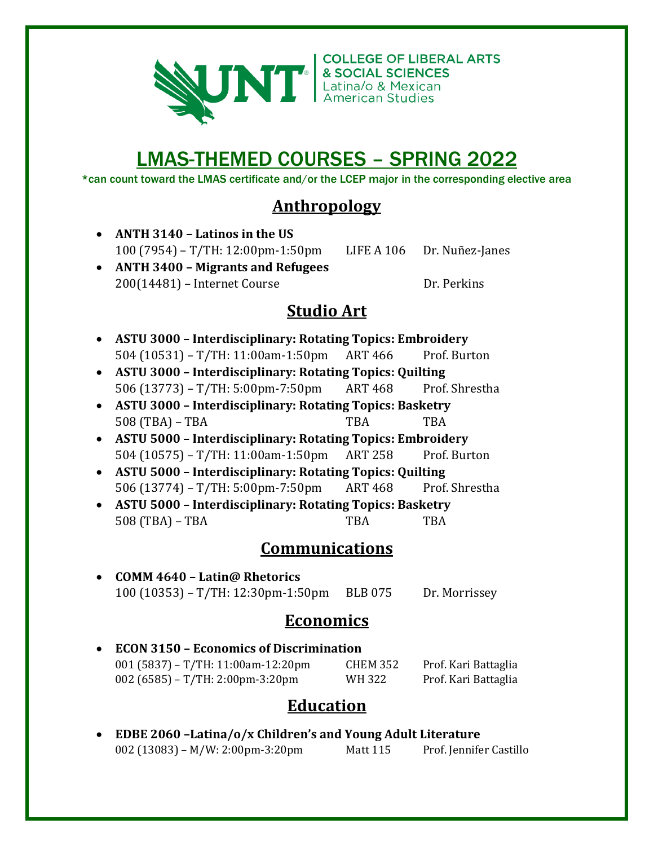

**COLLEGE OF LIBERAL ARTS** 

# LMAS-THEMED COURSES – SPRING 2022

\*can count toward the LMAS certificate and/or the LCEP major in the corresponding elective area

### **Anthropology**

- **ANTH 3140 – Latinos in the US** 100 (7954) – T/TH: 12:00pm-1:50pm LIFE A 106 Dr. Nuñez-Janes
- **ANTH 3400 – Migrants and Refugees** 200(14481) – Internet Course Dr. Perkins

### **Studio Art**

- **ASTU 3000 – Interdisciplinary: Rotating Topics: Embroidery** 504 (10531) – T/TH: 11:00am-1:50pm ART 466 Prof. Burton
- **ASTU 3000 – Interdisciplinary: Rotating Topics: Quilting** 506 (13773) – T/TH: 5:00pm-7:50pm ART 468 Prof. Shrestha
- **ASTU 3000 – Interdisciplinary: Rotating Topics: Basketry** 508 (TBA) – TBA TBA TBA
- **ASTU 5000 – Interdisciplinary: Rotating Topics: Embroidery** 504 (10575) – T/TH: 11:00am-1:50pm ART 258 Prof. Burton
- **ASTU 5000 – Interdisciplinary: Rotating Topics: Quilting** 506 (13774) – T/TH: 5:00pm-7:50pm ART 468 Prof. Shrestha
- **ASTU 5000 – Interdisciplinary: Rotating Topics: Basketry** 508 (TBA) – TBA TBA TBA

### **Communications**

• **COMM 4640 – Latin@ Rhetorics** 100 (10353) – T/TH: 12:30pm-1:50pm BLB 075 Dr. Morrissey

### **Economics**

• **ECON 3150 – Economics of Discrimination** 001 (5837) – T/TH: 11:00am-12:20pm CHEM 352 Prof. Kari Battaglia 002 (6585) – T/TH: 2:00pm-3:20pm WH 322 Prof. Kari Battaglia

### **Education**

• **EDBE 2060 –Latina/o/x Children's and Young Adult Literature** 002 (13083) – M/W: 2:00pm-3:20pm Matt 115 Prof. Jennifer Castillo